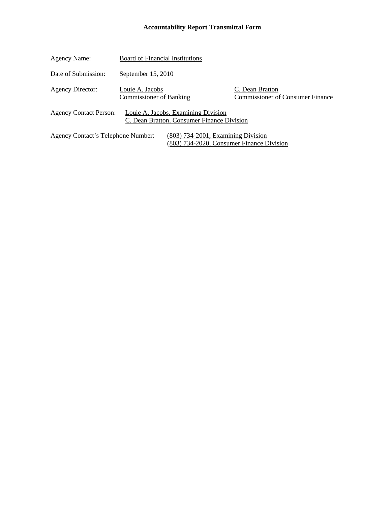## **Accountability Report Transmittal Form**

| Agency Name:                                                                                                            | <b>Board of Financial Institutions</b>            |                                                                                   |                                                            |
|-------------------------------------------------------------------------------------------------------------------------|---------------------------------------------------|-----------------------------------------------------------------------------------|------------------------------------------------------------|
| Date of Submission:                                                                                                     | September $15, 2010$                              |                                                                                   |                                                            |
| <b>Agency Director:</b>                                                                                                 | Louie A. Jacobs<br><b>Commissioner of Banking</b> |                                                                                   | C. Dean Bratton<br><b>Commissioner of Consumer Finance</b> |
| <b>Agency Contact Person:</b>                                                                                           |                                                   | Louie A. Jacobs, Examining Division<br>C. Dean Bratton, Consumer Finance Division |                                                            |
| $(803)$ 734-2001, Examining Division<br>Agency Contact's Telephone Number:<br>(803) 734-2020, Consumer Finance Division |                                                   |                                                                                   |                                                            |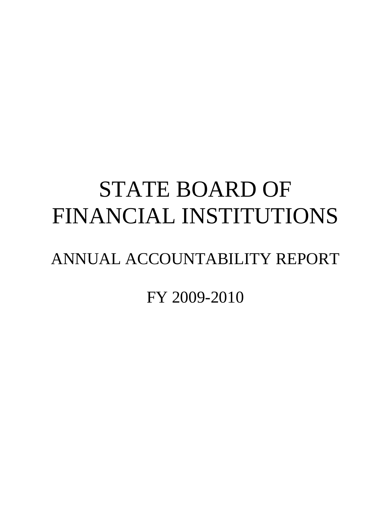# STATE BOARD OF FINANCIAL INSTITUTIONS

## ANNUAL ACCOUNTABILITY REPORT

FY 2009-2010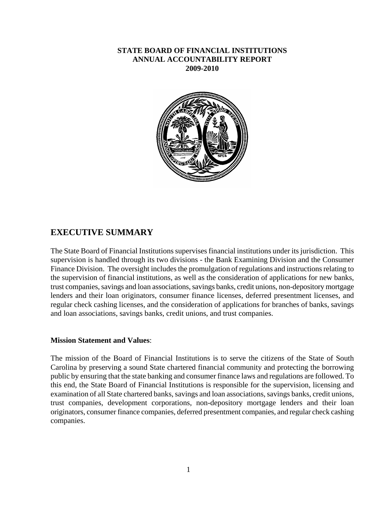## **STATE BOARD OF FINANCIAL INSTITUTIONS ANNUAL ACCOUNTABILITY REPORT 2009-2010**



## **EXECUTIVE SUMMARY**

The State Board of Financial Institutions supervises financial institutions under its jurisdiction. This supervision is handled through its two divisions - the Bank Examining Division and the Consumer Finance Division. The oversight includes the promulgation of regulations and instructions relating to the supervision of financial institutions, as well as the consideration of applications for new banks, trust companies, savings and loan associations, savings banks, credit unions, non-depository mortgage lenders and their loan originators, consumer finance licenses, deferred presentment licenses, and regular check cashing licenses, and the consideration of applications for branches of banks, savings and loan associations, savings banks, credit unions, and trust companies.

#### **Mission Statement and Values**:

The mission of the Board of Financial Institutions is to serve the citizens of the State of South Carolina by preserving a sound State chartered financial community and protecting the borrowing public by ensuring that the state banking and consumer finance laws and regulations are followed. To this end, the State Board of Financial Institutions is responsible for the supervision, licensing and examination of all State chartered banks, savings and loan associations, savings banks, credit unions, trust companies, development corporations, non-depository mortgage lenders and their loan originators, consumer finance companies, deferred presentment companies, and regular check cashing companies.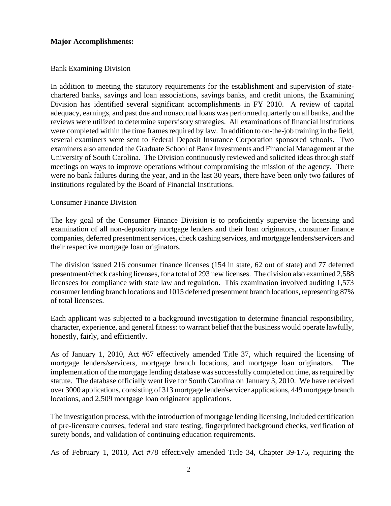## **Major Accomplishments:**

## Bank Examining Division

In addition to meeting the statutory requirements for the establishment and supervision of statechartered banks, savings and loan associations, savings banks, and credit unions, the Examining Division has identified several significant accomplishments in FY 2010. A review of capital adequacy, earnings, and past due and nonaccrual loans was performed quarterly on all banks, and the reviews were utilized to determine supervisory strategies. All examinations of financial institutions were completed within the time frames required by law. In addition to on-the-job training in the field, several examiners were sent to Federal Deposit Insurance Corporation sponsored schools. Two examiners also attended the Graduate School of Bank Investments and Financial Management at the University of South Carolina. The Division continuously reviewed and solicited ideas through staff meetings on ways to improve operations without compromising the mission of the agency. There were no bank failures during the year, and in the last 30 years, there have been only two failures of institutions regulated by the Board of Financial Institutions.

## Consumer Finance Division

The key goal of the Consumer Finance Division is to proficiently supervise the licensing and examination of all non-depository mortgage lenders and their loan originators, consumer finance companies, deferred presentment services, check cashing services, and mortgage lenders/servicers and their respective mortgage loan originators.

The division issued 216 consumer finance licenses (154 in state, 62 out of state) and 77 deferred presentment/check cashing licenses, for a total of 293 new licenses. The division also examined 2,588 licensees for compliance with state law and regulation. This examination involved auditing 1,573 consumer lending branch locations and 1015 deferred presentment branch locations, representing 87% of total licensees.

Each applicant was subjected to a background investigation to determine financial responsibility, character, experience, and general fitness: to warrant belief that the business would operate lawfully, honestly, fairly, and efficiently.

As of January 1, 2010, Act #67 effectively amended Title 37, which required the licensing of mortgage lenders/servicers, mortgage branch locations, and mortgage loan originators. The implementation of the mortgage lending database was successfully completed on time, as required by statute. The database officially went live for South Carolina on January 3, 2010. We have received over 3000 applications, consisting of 313 mortgage lender/servicer applications, 449 mortgage branch locations, and 2,509 mortgage loan originator applications.

The investigation process, with the introduction of mortgage lending licensing, included certification of pre-licensure courses, federal and state testing, fingerprinted background checks, verification of surety bonds, and validation of continuing education requirements.

As of February 1, 2010, Act #78 effectively amended Title 34, Chapter 39-175, requiring the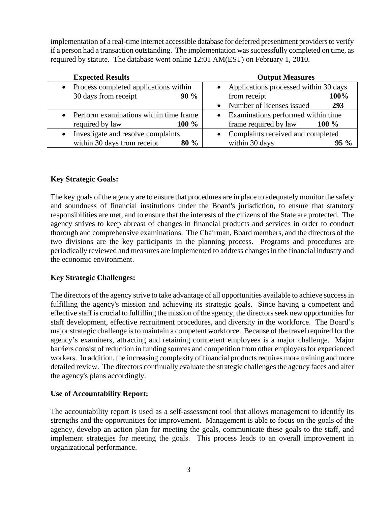implementation of a real-time internet accessible database for deferred presentment providers to verify if a person had a transaction outstanding. The implementation was successfully completed on time, as required by statute. The database went online 12:01 AM(EST) on February 1, 2010.

| <b>Expected Results</b>                            | <b>Output Measures</b>                |  |  |
|----------------------------------------------------|---------------------------------------|--|--|
| Process completed applications within<br>$\bullet$ | Applications processed within 30 days |  |  |
| 30 days from receipt<br>$90\%$                     | from receipt<br>100%                  |  |  |
|                                                    | Number of licenses issued<br>293      |  |  |
| • Perform examinations within time frame           | • Examinations performed within time  |  |  |
| $100 \%$<br>required by law                        | frame required by law<br>$100\%$      |  |  |
| Investigate and resolve complaints<br>$\bullet$    | • Complaints received and completed   |  |  |
| within 30 days from receipt<br>$80\%$              | within 30 days<br>$95\%$              |  |  |

## **Key Strategic Goals:**

The key goals of the agency are to ensure that procedures are in place to adequately monitor the safety and soundness of financial institutions under the Board's jurisdiction, to ensure that statutory responsibilities are met, and to ensure that the interests of the citizens of the State are protected. The agency strives to keep abreast of changes in financial products and services in order to conduct thorough and comprehensive examinations. The Chairman, Board members, and the directors of the two divisions are the key participants in the planning process. Programs and procedures are periodically reviewed and measures are implemented to address changes in the financial industry and the economic environment.

## **Key Strategic Challenges:**

The directors of the agency strive to take advantage of all opportunities available to achieve success in fulfilling the agency's mission and achieving its strategic goals. Since having a competent and effective staff is crucial to fulfilling the mission of the agency, the directors seek new opportunities for staff development, effective recruitment procedures, and diversity in the workforce. The Board's major strategic challenge is to maintain a competent workforce. Because of the travel required for the agency's examiners, attracting and retaining competent employees is a major challenge. Major barriers consist of reduction in funding sources and competition from other employers for experienced workers. In addition, the increasing complexity of financial products requires more training and more detailed review. The directors continually evaluate the strategic challenges the agency faces and alter the agency's plans accordingly.

## **Use of Accountability Report:**

The accountability report is used as a self-assessment tool that allows management to identify its strengths and the opportunities for improvement. Management is able to focus on the goals of the agency, develop an action plan for meeting the goals, communicate these goals to the staff, and implement strategies for meeting the goals. This process leads to an overall improvement in organizational performance.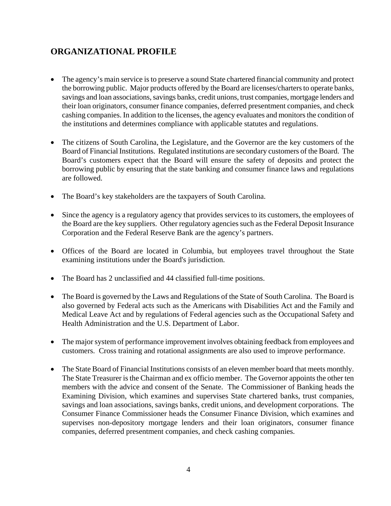## **ORGANIZATIONAL PROFILE**

- The agency's main service is to preserve a sound State chartered financial community and protect the borrowing public. Major products offered by the Board are licenses/charters to operate banks, savings and loan associations, savings banks, credit unions, trust companies, mortgage lenders and their loan originators, consumer finance companies, deferred presentment companies, and check cashing companies. In addition to the licenses, the agency evaluates and monitors the condition of the institutions and determines compliance with applicable statutes and regulations.
- The citizens of South Carolina, the Legislature, and the Governor are the key customers of the Board of Financial Institutions. Regulated institutions are secondary customers of the Board. The Board's customers expect that the Board will ensure the safety of deposits and protect the borrowing public by ensuring that the state banking and consumer finance laws and regulations are followed.
- The Board's key stakeholders are the taxpayers of South Carolina.
- Since the agency is a regulatory agency that provides services to its customers, the employees of the Board are the key suppliers. Other regulatory agencies such as the Federal Deposit Insurance Corporation and the Federal Reserve Bank are the agency's partners.
- Offices of the Board are located in Columbia, but employees travel throughout the State examining institutions under the Board's jurisdiction.
- The Board has 2 unclassified and 44 classified full-time positions.
- The Board is governed by the Laws and Regulations of the State of South Carolina. The Board is also governed by Federal acts such as the Americans with Disabilities Act and the Family and Medical Leave Act and by regulations of Federal agencies such as the Occupational Safety and Health Administration and the U.S. Department of Labor.
- The major system of performance improvement involves obtaining feedback from employees and customers. Cross training and rotational assignments are also used to improve performance.
- The State Board of Financial Institutions consists of an eleven member board that meets monthly. The State Treasurer is the Chairman and ex officio member. The Governor appoints the other ten members with the advice and consent of the Senate. The Commissioner of Banking heads the Examining Division, which examines and supervises State chartered banks, trust companies, savings and loan associations, savings banks, credit unions, and development corporations. The Consumer Finance Commissioner heads the Consumer Finance Division, which examines and supervises non-depository mortgage lenders and their loan originators, consumer finance companies, deferred presentment companies, and check cashing companies.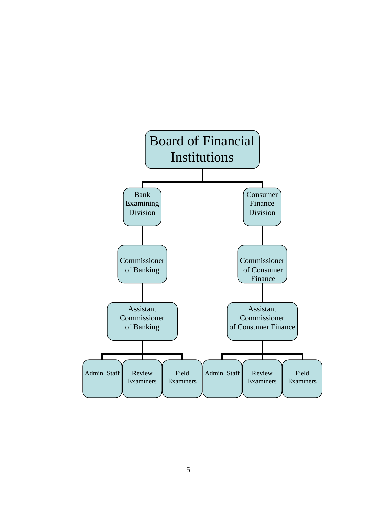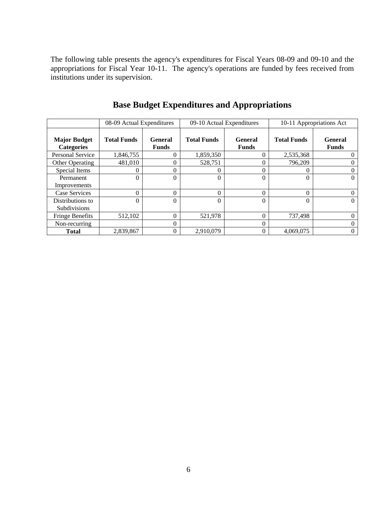The following table presents the agency's expenditures for Fiscal Years 08-09 and 09-10 and the appropriations for Fiscal Year 10-11. The agency's operations are funded by fees received from institutions under its supervision.

|                                          | 08-09 Actual Expenditures |                         |                    | 09-10 Actual Expenditures      | 10-11 Appropriations Act |                                |
|------------------------------------------|---------------------------|-------------------------|--------------------|--------------------------------|--------------------------|--------------------------------|
| <b>Major Budget</b><br><b>Categories</b> | <b>Total Funds</b>        | General<br><b>Funds</b> | <b>Total Funds</b> | <b>General</b><br><b>Funds</b> | <b>Total Funds</b>       | <b>General</b><br><b>Funds</b> |
| Personal Service                         | 1,846,755                 |                         | 1,859,350          | $\theta$                       | 2,535,368                | 0                              |
| <b>Other Operating</b>                   | 481,010                   |                         | 528,751            | $\theta$                       | 796,209                  | 0                              |
| Special Items                            | $\theta$                  |                         | $\Omega$           | $\Omega$                       |                          | 0                              |
| Permanent                                | $\Omega$                  | $\theta$                | $\Omega$           | $\theta$                       |                          | $\theta$                       |
| Improvements                             |                           |                         |                    |                                |                          |                                |
| Case Services                            | $\Omega$                  | 0                       | $\Omega$           | $\theta$                       | $\Omega$                 | $\theta$                       |
| Distributions to                         | $\Omega$                  | $\Omega$                | $\Omega$           | $\theta$                       |                          | $\Omega$                       |
| Subdivisions                             |                           |                         |                    |                                |                          |                                |
| <b>Fringe Benefits</b>                   | 512,102                   | $\Omega$                | 521,978            | $\theta$                       | 737,498                  | $\Omega$                       |
| Non-recurring                            |                           | 0                       |                    | $\theta$                       |                          | $\theta$                       |
| <b>Total</b>                             | 2,839,867                 |                         | 2.910.079          | $\overline{0}$                 | 4.069.075                | $\mathbf{0}$                   |

**Base Budget Expenditures and Appropriations**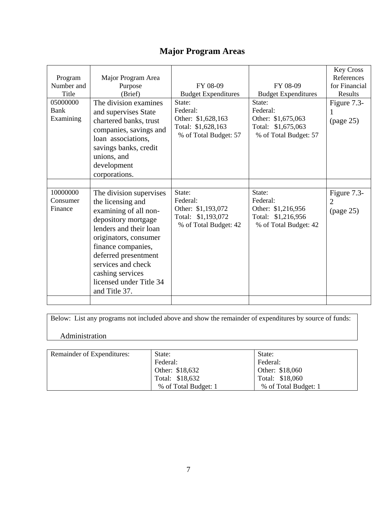## **Major Program Areas**

| Program<br>Number and<br>Title<br>05000000<br>Bank<br>Examining | Major Program Area<br>Purpose<br>(Brief)<br>The division examines<br>and supervises State<br>chartered banks, trust<br>companies, savings and<br>loan associations,<br>savings banks, credit<br>unions, and<br>development<br>corporations.                                         | FY 08-09<br><b>Budget Expenditures</b><br>State:<br>Federal:<br>Other: \$1,628,163<br>Total: \$1,628,163<br>% of Total Budget: 57 | FY 08-09<br><b>Budget Expenditures</b><br>State:<br>Federal:<br>Other: \$1,675,063<br>Total: \$1,675,063<br>% of Total Budget: 57 | <b>Key Cross</b><br>References<br>for Financial<br>Results<br>Figure 7.3-<br>$\mu$ (page 25) |
|-----------------------------------------------------------------|-------------------------------------------------------------------------------------------------------------------------------------------------------------------------------------------------------------------------------------------------------------------------------------|-----------------------------------------------------------------------------------------------------------------------------------|-----------------------------------------------------------------------------------------------------------------------------------|----------------------------------------------------------------------------------------------|
| 10000000<br>Consumer<br>Finance                                 | The division supervises<br>the licensing and<br>examining of all non-<br>depository mortgage<br>lenders and their loan<br>originators, consumer<br>finance companies,<br>deferred presentment<br>services and check<br>cashing services<br>licensed under Title 34<br>and Title 37. | State:<br>Federal:<br>Other: \$1,193,072<br>Total: \$1,193,072<br>% of Total Budget: 42                                           | State:<br>Federal:<br>Other: \$1,216,956<br>Total: \$1,216,956<br>% of Total Budget: 42                                           | Figure 7.3-<br>$\overline{2}$<br>(page 25)                                                   |

Below: List any programs not included above and show the remainder of expenditures by source of funds:

## Administration

| Remainder of Expenditures: | State:               | State:               |
|----------------------------|----------------------|----------------------|
|                            | Federal:             | Federal:             |
|                            | Other: \$18,632      | Other: \$18,060      |
|                            | Total: \$18,632      | Total: \$18,060      |
|                            | % of Total Budget: 1 | % of Total Budget: 1 |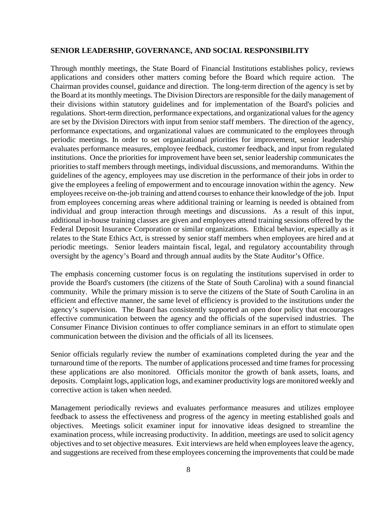#### **SENIOR LEADERSHIP, GOVERNANCE, AND SOCIAL RESPONSIBILITY**

Through monthly meetings, the State Board of Financial Institutions establishes policy, reviews applications and considers other matters coming before the Board which require action. The Chairman provides counsel, guidance and direction. The long-term direction of the agency is set by the Board at its monthly meetings. The Division Directors are responsible for the daily management of their divisions within statutory guidelines and for implementation of the Board's policies and regulations. Short-term direction, performance expectations, and organizational values for the agency are set by the Division Directors with input from senior staff members. The direction of the agency, performance expectations, and organizational values are communicated to the employees through periodic meetings. In order to set organizational priorities for improvement, senior leadership evaluates performance measures, employee feedback, customer feedback, and input from regulated institutions. Once the priorities for improvement have been set, senior leadership communicates the priorities to staff members through meetings, individual discussions, and memorandums. Within the guidelines of the agency, employees may use discretion in the performance of their jobs in order to give the employees a feeling of empowerment and to encourage innovation within the agency. New employees receive on-the-job training and attend courses to enhance their knowledge of the job. Input from employees concerning areas where additional training or learning is needed is obtained from individual and group interaction through meetings and discussions. As a result of this input, additional in-house training classes are given and employees attend training sessions offered by the Federal Deposit Insurance Corporation or similar organizations. Ethical behavior, especially as it relates to the State Ethics Act, is stressed by senior staff members when employees are hired and at periodic meetings. Senior leaders maintain fiscal, legal, and regulatory accountability through oversight by the agency's Board and through annual audits by the State Auditor's Office.

The emphasis concerning customer focus is on regulating the institutions supervised in order to provide the Board's customers (the citizens of the State of South Carolina) with a sound financial community. While the primary mission is to serve the citizens of the State of South Carolina in an efficient and effective manner, the same level of efficiency is provided to the institutions under the agency's supervision. The Board has consistently supported an open door policy that encourages effective communication between the agency and the officials of the supervised industries. The Consumer Finance Division continues to offer compliance seminars in an effort to stimulate open communication between the division and the officials of all its licensees.

Senior officials regularly review the number of examinations completed during the year and the turnaround time of the reports. The number of applications processed and time frames for processing these applications are also monitored. Officials monitor the growth of bank assets, loans, and deposits. Complaint logs, application logs, and examiner productivity logs are monitored weekly and corrective action is taken when needed.

Management periodically reviews and evaluates performance measures and utilizes employee feedback to assess the effectiveness and progress of the agency in meeting established goals and objectives. Meetings solicit examiner input for innovative ideas designed to streamline the examination process, while increasing productivity. In addition, meetings are used to solicit agency objectives and to set objective measures. Exit interviews are held when employees leave the agency, and suggestions are received from these employees concerning the improvements that could be made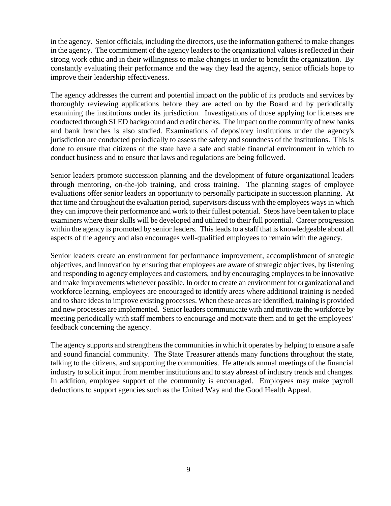in the agency. Senior officials, including the directors, use the information gathered to make changes in the agency. The commitment of the agency leaders to the organizational values is reflected in their strong work ethic and in their willingness to make changes in order to benefit the organization. By constantly evaluating their performance and the way they lead the agency, senior officials hope to improve their leadership effectiveness.

The agency addresses the current and potential impact on the public of its products and services by thoroughly reviewing applications before they are acted on by the Board and by periodically examining the institutions under its jurisdiction. Investigations of those applying for licenses are conducted through SLED background and credit checks. The impact on the community of new banks and bank branches is also studied. Examinations of depository institutions under the agency's jurisdiction are conducted periodically to assess the safety and soundness of the institutions. This is done to ensure that citizens of the state have a safe and stable financial environment in which to conduct business and to ensure that laws and regulations are being followed.

Senior leaders promote succession planning and the development of future organizational leaders through mentoring, on-the-job training, and cross training. The planning stages of employee evaluations offer senior leaders an opportunity to personally participate in succession planning. At that time and throughout the evaluation period, supervisors discuss with the employees ways in which they can improve their performance and work to their fullest potential. Steps have been taken to place examiners where their skills will be developed and utilized to their full potential. Career progression within the agency is promoted by senior leaders. This leads to a staff that is knowledgeable about all aspects of the agency and also encourages well-qualified employees to remain with the agency.

Senior leaders create an environment for performance improvement, accomplishment of strategic objectives, and innovation by ensuring that employees are aware of strategic objectives, by listening and responding to agency employees and customers, and by encouraging employees to be innovative and make improvements whenever possible. In order to create an environment for organizational and workforce learning, employees are encouraged to identify areas where additional training is needed and to share ideas to improve existing processes. When these areas are identified, training is provided and new processes are implemented. Senior leaders communicate with and motivate the workforce by meeting periodically with staff members to encourage and motivate them and to get the employees' feedback concerning the agency.

The agency supports and strengthens the communities in which it operates by helping to ensure a safe and sound financial community. The State Treasurer attends many functions throughout the state, talking to the citizens, and supporting the communities. He attends annual meetings of the financial industry to solicit input from member institutions and to stay abreast of industry trends and changes. In addition, employee support of the community is encouraged. Employees may make payroll deductions to support agencies such as the United Way and the Good Health Appeal.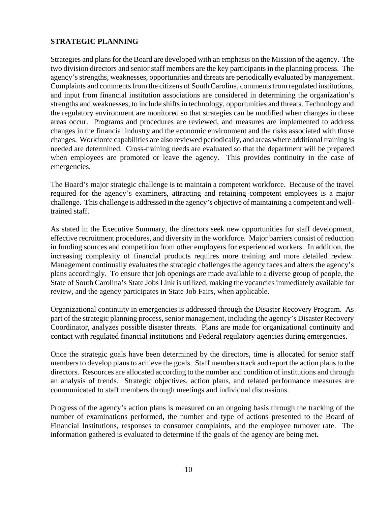## **STRATEGIC PLANNING**

Strategies and plans for the Board are developed with an emphasis on the Mission of the agency. The two division directors and senior staff members are the key participants in the planning process. The agency's strengths, weaknesses, opportunities and threats are periodically evaluated by management. Complaints and comments from the citizens of South Carolina, comments from regulated institutions, and input from financial institution associations are considered in determining the organization's strengths and weaknesses, to include shifts in technology, opportunities and threats. Technology and the regulatory environment are monitored so that strategies can be modified when changes in these areas occur. Programs and procedures are reviewed, and measures are implemented to address changes in the financial industry and the economic environment and the risks associated with those changes. Workforce capabilities are also reviewed periodically, and areas where additional training is needed are determined. Cross-training needs are evaluated so that the department will be prepared when employees are promoted or leave the agency. This provides continuity in the case of emergencies.

The Board's major strategic challenge is to maintain a competent workforce. Because of the travel required for the agency's examiners, attracting and retaining competent employees is a major challenge. This challenge is addressed in the agency's objective of maintaining a competent and welltrained staff.

As stated in the Executive Summary, the directors seek new opportunities for staff development, effective recruitment procedures, and diversity in the workforce. Major barriers consist of reduction in funding sources and competition from other employers for experienced workers. In addition, the increasing complexity of financial products requires more training and more detailed review. Management continually evaluates the strategic challenges the agency faces and alters the agency's plans accordingly. To ensure that job openings are made available to a diverse group of people, the State of South Carolina's State Jobs Link is utilized, making the vacancies immediately available for review, and the agency participates in State Job Fairs, when applicable.

Organizational continuity in emergencies is addressed through the Disaster Recovery Program. As part of the strategic planning process, senior management, including the agency's Disaster Recovery Coordinator, analyzes possible disaster threats. Plans are made for organizational continuity and contact with regulated financial institutions and Federal regulatory agencies during emergencies.

Once the strategic goals have been determined by the directors, time is allocated for senior staff members to develop plans to achieve the goals. Staff members track and report the action plans to the directors. Resources are allocated according to the number and condition of institutions and through an analysis of trends. Strategic objectives, action plans, and related performance measures are communicated to staff members through meetings and individual discussions.

Progress of the agency's action plans is measured on an ongoing basis through the tracking of the number of examinations performed, the number and type of actions presented to the Board of Financial Institutions, responses to consumer complaints, and the employee turnover rate. The information gathered is evaluated to determine if the goals of the agency are being met.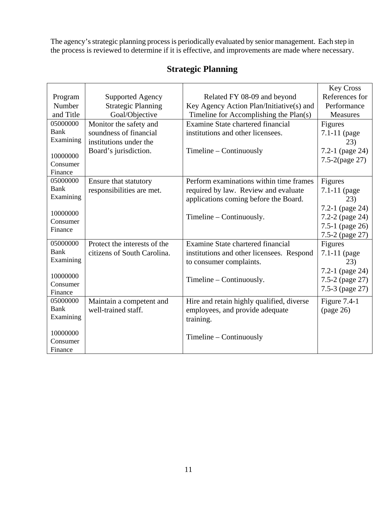The agency's strategic planning process is periodically evaluated by senior management. Each step in the process is reviewed to determine if it is effective, and improvements are made where necessary.

|                      |                              |                                           | <b>Key Cross</b>    |
|----------------------|------------------------------|-------------------------------------------|---------------------|
| Program              | <b>Supported Agency</b>      | Related FY 08-09 and beyond               | References for      |
| Number               | <b>Strategic Planning</b>    | Key Agency Action Plan/Initiative(s) and  | Performance         |
| and Title            | Goal/Objective               | Timeline for Accomplishing the Plan(s)    | <b>Measures</b>     |
| 05000000             | Monitor the safety and       | Examine State chartered financial         | Figures             |
| <b>Bank</b>          | soundness of financial       | institutions and other licensees.         | $7.1 - 11$ (page    |
| Examining            | institutions under the       |                                           | (23)                |
|                      | Board's jurisdiction.        | $T$ imeline – Continuously                | 7.2-1 (page 24)     |
| 10000000<br>Consumer |                              |                                           | $7.5 - 2$ (page 27) |
| Finance              |                              |                                           |                     |
| 05000000             | Ensure that statutory        | Perform examinations within time frames   | Figures             |
| Bank                 | responsibilities are met.    | required by law. Review and evaluate      | 7.1-11 (page        |
| Examining            |                              | applications coming before the Board.     | 23)                 |
|                      |                              |                                           | 7.2-1 (page 24)     |
| 10000000             |                              | Timeline – Continuously.                  | 7.2-2 (page 24)     |
| Consumer             |                              |                                           | 7.5-1 (page 26)     |
| Finance              |                              |                                           | 7.5-2 (page 27)     |
| 05000000             | Protect the interests of the | Examine State chartered financial         | Figures             |
| <b>Bank</b>          | citizens of South Carolina.  | institutions and other licensees. Respond | 7.1-11 (page        |
| Examining            |                              | to consumer complaints.                   | 23)                 |
|                      |                              |                                           | 7.2-1 (page 24)     |
| 10000000             |                              | Timeline – Continuously.                  | 7.5-2 (page 27)     |
| Consumer             |                              |                                           | 7.5-3 (page 27)     |
| Finance              |                              |                                           |                     |
| 05000000             | Maintain a competent and     | Hire and retain highly qualified, diverse | Figure $7.4-1$      |
| Bank<br>Examining    | well-trained staff.          | employees, and provide adequate           | (page 26)           |
|                      |                              | training.                                 |                     |
| 10000000             |                              |                                           |                     |
| Consumer             |                              | $Timeline - Continuously$                 |                     |
| Finance              |                              |                                           |                     |

## **Strategic Planning**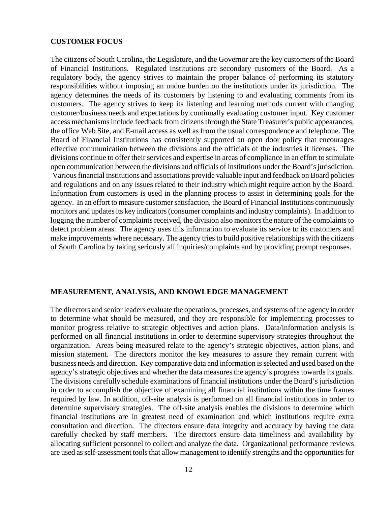#### **CUSTOMER FOCUS**

The citizens of South Carolina, the Legislature, and the Governor are the key customers of the Board of Financial Institutions. Regulated institutions are secondary customers of the Board. As a regulatory body, the agency strives to maintain the proper balance of performing its statutory responsibilities without imposing an undue burden on the institutions under its jurisdiction. The agency determines the needs of its customers by listening to and evaluating comments from its customers. The agency strives to keep its listening and learning methods current with changing customer/business needs and expectations by continually evaluating customer input. Key customer access mechanisms include feedback from citizens through the State Treasurer's public appearances, the office Web Site, and E-mail access as well as from the usual correspondence and telephone. The Board of Financial Institutions has consistently supported an open door policy that encourages effective communication between the divisions and the officials of the industries it licenses. The divisions continue to offer their services and expertise in areas of compliance in an effort to stimulate open communication between the divisions and officials of institutions under the Board's jurisdiction. Various financial institutions and associations provide valuable input and feedback on Board policies and regulations and on any issues related to their industry which might require action by the Board. Information from customers is used in the planning process to assist in determining goals for the agency. In an effort to measure customer satisfaction, the Board of Financial Institutions continuously monitors and updates its key indicators (consumer complaints and industry complaints). In addition to logging the number of complaints received, the division also monitors the nature of the complaints to detect problem areas. The agency uses this information to evaluate its service to its customers and make improvements where necessary. The agency tries to build positive relationships with the citizens of South Carolina by taking seriously all inquiries/complaints and by providing prompt responses.

#### **MEASUREMENT, ANALYSIS, AND KNOWLEDGE MANAGEMENT**

The directors and senior leaders evaluate the operations, processes, and systems of the agency in order to determine what should be measured, and they are responsible for implementing processes to monitor progress relative to strategic objectives and action plans. Data/information analysis is performed on all financial institutions in order to determine supervisory strategies throughout the organization. Areas being measured relate to the agency's strategic objectives, action plans, and mission statement. The directors monitor the key measures to assure they remain current with business needs and direction. Key comparative data and information is selected and used based on the agency's strategic objectives and whether the data measures the agency's progress towards its goals. The divisions carefully schedule examinations of financial institutions under the Board's jurisdiction in order to accomplish the objective of examining all financial institutions within the time frames required by law. In addition, off-site analysis is performed on all financial institutions in order to determine supervisory strategies. The off-site analysis enables the divisions to determine which financial institutions are in greatest need of examination and which institutions require extra consultation and direction. The directors ensure data integrity and accuracy by having the data carefully checked by staff members. The directors ensure data timeliness and availability by allocating sufficient personnel to collect and analyze the data. Organizational performance reviews are used as self-assessment tools that allow management to identify strengths and the opportunities for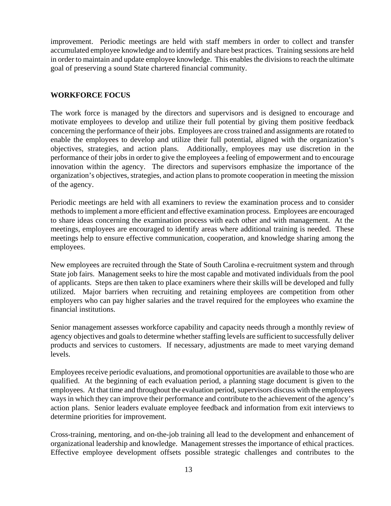improvement. Periodic meetings are held with staff members in order to collect and transfer accumulated employee knowledge and to identify and share best practices. Training sessions are held in order to maintain and update employee knowledge. This enables the divisions to reach the ultimate goal of preserving a sound State chartered financial community.

## **WORKFORCE FOCUS**

The work force is managed by the directors and supervisors and is designed to encourage and motivate employees to develop and utilize their full potential by giving them positive feedback concerning the performance of their jobs. Employees are cross trained and assignments are rotated to enable the employees to develop and utilize their full potential, aligned with the organization's objectives, strategies, and action plans. Additionally, employees may use discretion in the performance of their jobs in order to give the employees a feeling of empowerment and to encourage innovation within the agency. The directors and supervisors emphasize the importance of the organization's objectives, strategies, and action plans to promote cooperation in meeting the mission of the agency.

Periodic meetings are held with all examiners to review the examination process and to consider methods to implement a more efficient and effective examination process. Employees are encouraged to share ideas concerning the examination process with each other and with management. At the meetings, employees are encouraged to identify areas where additional training is needed. These meetings help to ensure effective communication, cooperation, and knowledge sharing among the employees.

New employees are recruited through the State of South Carolina e-recruitment system and through State job fairs. Management seeks to hire the most capable and motivated individuals from the pool of applicants. Steps are then taken to place examiners where their skills will be developed and fully utilized. Major barriers when recruiting and retaining employees are competition from other employers who can pay higher salaries and the travel required for the employees who examine the financial institutions.

Senior management assesses workforce capability and capacity needs through a monthly review of agency objectives and goals to determine whether staffing levels are sufficient to successfully deliver products and services to customers. If necessary, adjustments are made to meet varying demand levels.

Employees receive periodic evaluations, and promotional opportunities are available to those who are qualified. At the beginning of each evaluation period, a planning stage document is given to the employees. At that time and throughout the evaluation period, supervisors discuss with the employees ways in which they can improve their performance and contribute to the achievement of the agency's action plans. Senior leaders evaluate employee feedback and information from exit interviews to determine priorities for improvement.

Cross-training, mentoring, and on-the-job training all lead to the development and enhancement of organizational leadership and knowledge. Management stresses the importance of ethical practices. Effective employee development offsets possible strategic challenges and contributes to the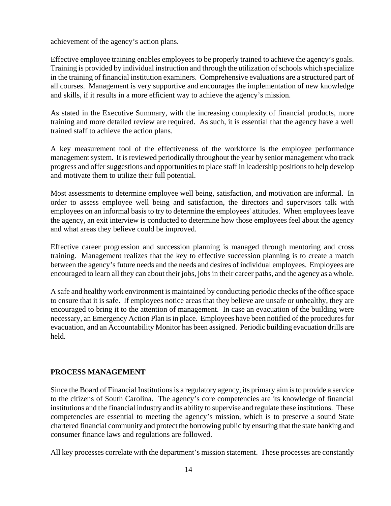achievement of the agency's action plans.

Effective employee training enables employees to be properly trained to achieve the agency's goals. Training is provided by individual instruction and through the utilization of schools which specialize in the training of financial institution examiners. Comprehensive evaluations are a structured part of all courses. Management is very supportive and encourages the implementation of new knowledge and skills, if it results in a more efficient way to achieve the agency's mission.

As stated in the Executive Summary, with the increasing complexity of financial products, more training and more detailed review are required. As such, it is essential that the agency have a well trained staff to achieve the action plans.

A key measurement tool of the effectiveness of the workforce is the employee performance management system. It is reviewed periodically throughout the year by senior management who track progress and offer suggestions and opportunities to place staff in leadership positions to help develop and motivate them to utilize their full potential.

Most assessments to determine employee well being, satisfaction, and motivation are informal. In order to assess employee well being and satisfaction, the directors and supervisors talk with employees on an informal basis to try to determine the employees' attitudes. When employees leave the agency, an exit interview is conducted to determine how those employees feel about the agency and what areas they believe could be improved.

Effective career progression and succession planning is managed through mentoring and cross training. Management realizes that the key to effective succession planning is to create a match between the agency's future needs and the needs and desires of individual employees. Employees are encouraged to learn all they can about their jobs, jobs in their career paths, and the agency as a whole.

A safe and healthy work environment is maintained by conducting periodic checks of the office space to ensure that it is safe. If employees notice areas that they believe are unsafe or unhealthy, they are encouraged to bring it to the attention of management. In case an evacuation of the building were necessary, an Emergency Action Plan is in place. Employees have been notified of the procedures for evacuation, and an Accountability Monitor has been assigned. Periodic building evacuation drills are held.

## **PROCESS MANAGEMENT**

Since the Board of Financial Institutions is a regulatory agency, its primary aim is to provide a service to the citizens of South Carolina. The agency's core competencies are its knowledge of financial institutions and the financial industry and its ability to supervise and regulate these institutions. These competencies are essential to meeting the agency's mission, which is to preserve a sound State chartered financial community and protect the borrowing public by ensuring that the state banking and consumer finance laws and regulations are followed.

All key processes correlate with the department's mission statement. These processes are constantly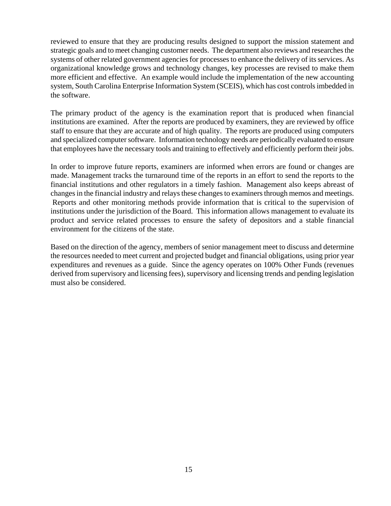reviewed to ensure that they are producing results designed to support the mission statement and strategic goals and to meet changing customer needs. The department also reviews and researches the systems of other related government agencies for processes to enhance the delivery of its services. As organizational knowledge grows and technology changes, key processes are revised to make them more efficient and effective. An example would include the implementation of the new accounting system, South Carolina Enterprise Information System (SCEIS), which has cost controls imbedded in the software.

The primary product of the agency is the examination report that is produced when financial institutions are examined. After the reports are produced by examiners, they are reviewed by office staff to ensure that they are accurate and of high quality. The reports are produced using computers and specialized computer software. Information technology needs are periodically evaluated to ensure that employees have the necessary tools and training to effectively and efficiently perform their jobs.

In order to improve future reports, examiners are informed when errors are found or changes are made. Management tracks the turnaround time of the reports in an effort to send the reports to the financial institutions and other regulators in a timely fashion. Management also keeps abreast of changes in the financial industry and relays these changes to examiners through memos and meetings. Reports and other monitoring methods provide information that is critical to the supervision of institutions under the jurisdiction of the Board. This information allows management to evaluate its product and service related processes to ensure the safety of depositors and a stable financial environment for the citizens of the state.

Based on the direction of the agency, members of senior management meet to discuss and determine the resources needed to meet current and projected budget and financial obligations, using prior year expenditures and revenues as a guide. Since the agency operates on 100% Other Funds (revenues derived from supervisory and licensing fees), supervisory and licensing trends and pending legislation must also be considered.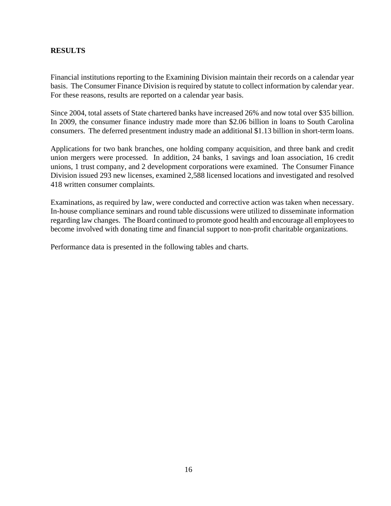## **RESULTS**

Financial institutions reporting to the Examining Division maintain their records on a calendar year basis. The Consumer Finance Division is required by statute to collect information by calendar year. For these reasons, results are reported on a calendar year basis.

Since 2004, total assets of State chartered banks have increased 26% and now total over \$35 billion. In 2009, the consumer finance industry made more than \$2.06 billion in loans to South Carolina consumers. The deferred presentment industry made an additional \$1.13 billion in short-term loans.

Applications for two bank branches, one holding company acquisition, and three bank and credit union mergers were processed. In addition, 24 banks, 1 savings and loan association, 16 credit unions, 1 trust company, and 2 development corporations were examined. The Consumer Finance Division issued 293 new licenses, examined 2,588 licensed locations and investigated and resolved 418 written consumer complaints.

Examinations, as required by law, were conducted and corrective action was taken when necessary. In-house compliance seminars and round table discussions were utilized to disseminate information regarding law changes. The Board continued to promote good health and encourage all employees to become involved with donating time and financial support to non-profit charitable organizations.

Performance data is presented in the following tables and charts.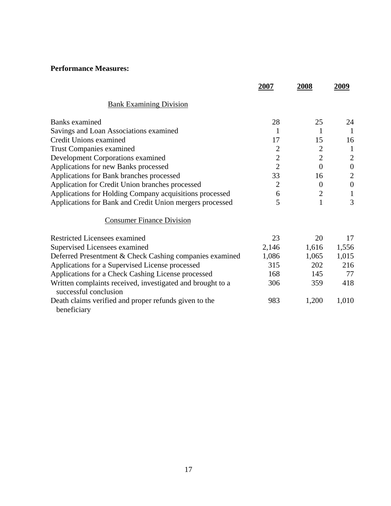## **Performance Measures:**

|                                                                                     | 2007           | 2008           | 2009             |
|-------------------------------------------------------------------------------------|----------------|----------------|------------------|
| <b>Bank Examining Division</b>                                                      |                |                |                  |
| Banks examined                                                                      | 28             | 25             | 24               |
| Savings and Loan Associations examined                                              | 1              | 1              | $\mathbf{1}$     |
| Credit Unions examined                                                              | 17             | 15             | 16               |
| <b>Trust Companies examined</b>                                                     | $\overline{2}$ | $\overline{2}$ | $\mathbf{1}$     |
| Development Corporations examined                                                   | $\overline{2}$ | $\overline{2}$ | $\overline{2}$   |
| Applications for new Banks processed                                                | $\overline{2}$ | $\overline{0}$ | $\boldsymbol{0}$ |
| Applications for Bank branches processed                                            | 33             | 16             | $\overline{2}$   |
| Application for Credit Union branches processed                                     | $\overline{2}$ | $\overline{0}$ | $\boldsymbol{0}$ |
| Applications for Holding Company acquisitions processed                             | 6              | $\overline{2}$ |                  |
| Applications for Bank and Credit Union mergers processed                            | 5              | 1              | 3                |
| <b>Consumer Finance Division</b>                                                    |                |                |                  |
| Restricted Licensees examined                                                       | 23             | 20             | 17               |
| Supervised Licensees examined                                                       | 2,146          | 1,616          | 1,556            |
| Deferred Presentment & Check Cashing companies examined                             | 1,086          | 1,065          | 1,015            |
| Applications for a Supervised License processed                                     | 315            | 202            | 216              |
| Applications for a Check Cashing License processed                                  | 168            | 145            | 77               |
| Written complaints received, investigated and brought to a<br>successful conclusion | 306            | 359            | 418              |
| Death claims verified and proper refunds given to the<br>beneficiary                | 983            | 1,200          | 1,010            |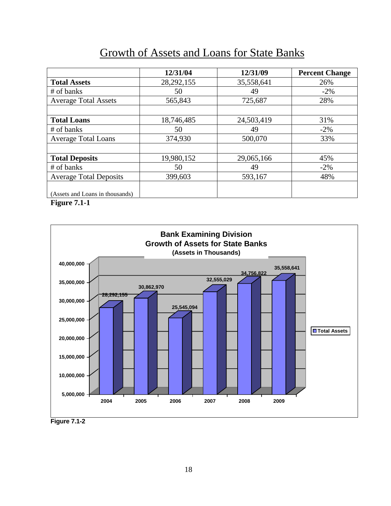## Growth of Assets and Loans for State Banks

|                                 | 12/31/04     | 12/31/09   | <b>Percent Change</b> |
|---------------------------------|--------------|------------|-----------------------|
| <b>Total Assets</b>             | 28, 292, 155 | 35,558,641 | 26%                   |
| # of banks                      | 50           | 49         | $-2\%$                |
| <b>Average Total Assets</b>     | 565,843      | 725,687    | 28%                   |
|                                 |              |            |                       |
| <b>Total Loans</b>              | 18,746,485   | 24,503,419 | 31%                   |
| # of banks                      | 50           | 49         | $-2\%$                |
| <b>Average Total Loans</b>      | 374,930      | 500,070    | 33%                   |
|                                 |              |            |                       |
| <b>Total Deposits</b>           | 19,980,152   | 29,065,166 | 45%                   |
| # of banks                      | 50           | 49         | $-2\%$                |
| <b>Average Total Deposits</b>   | 399,603      | 593,167    | 48%                   |
|                                 |              |            |                       |
| (Assets and Loans in thousands) |              |            |                       |

**Figure 7.1-1** 



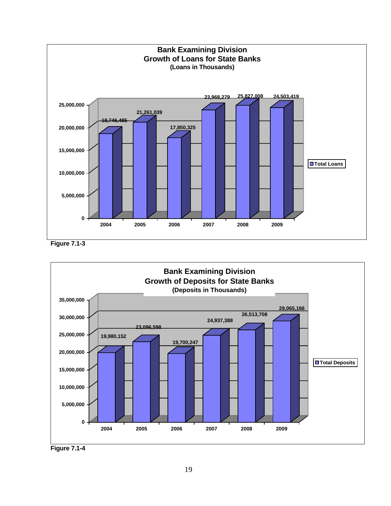





**Figure 7.1-4**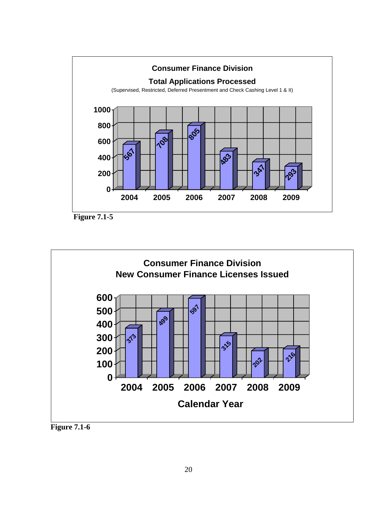

**Figure 7.1-5** 



**Figure 7.1-6**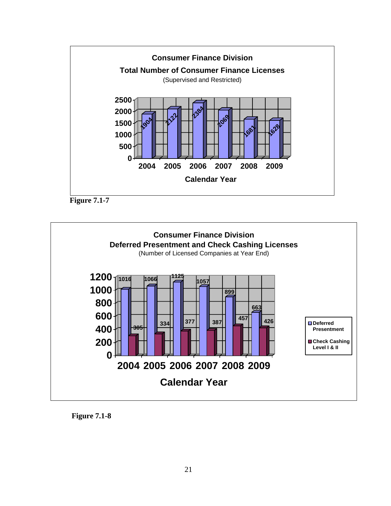





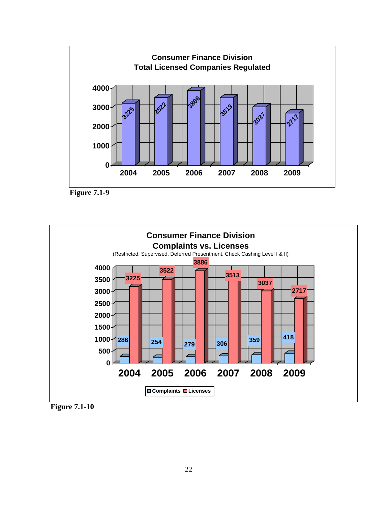





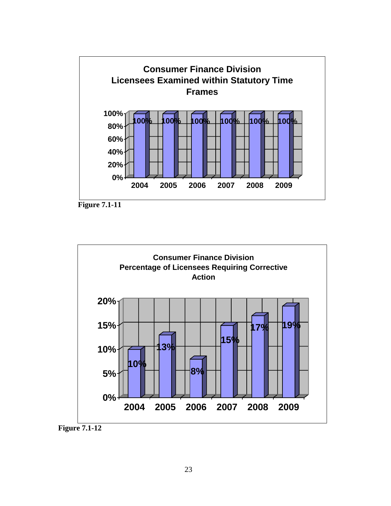





 **Figure 7.1-12**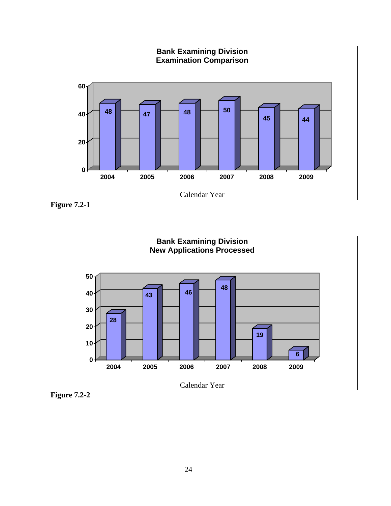

**Figure 7.2-1** 



**Figure 7.2-2**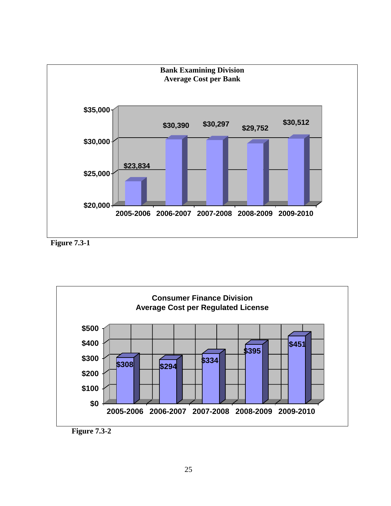

**Figure 7.3-1** 

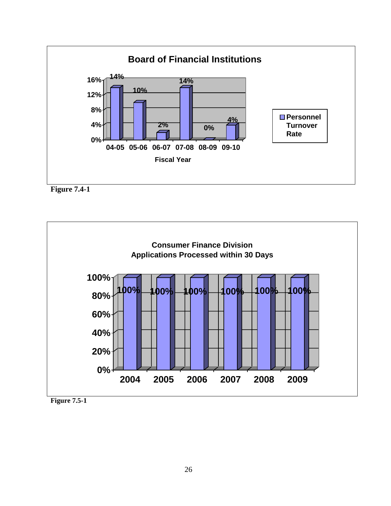





**Figure 7.5-1**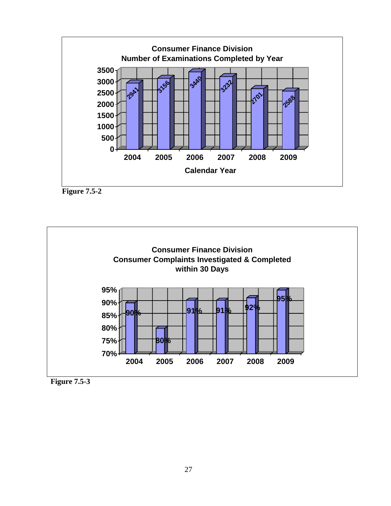





**Figure 7.5-3**